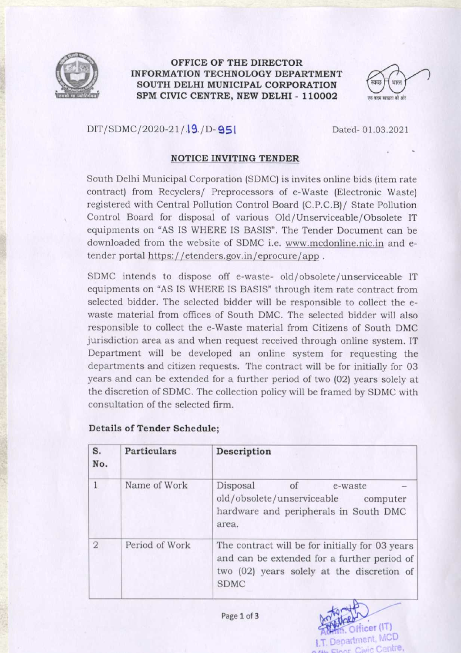

#### OFFICE OF THE DIRECTOR **INFORMATION TECHNOLOGY DEPARTMENT** SOUTH DELHI MUNICIPAL CORPORATION SPM CIVIC CENTRE, NEW DELHI - 110002



 $DIT/SDMC/2020-21/19.$ /D-951

Dated-01.03.2021

#### **NOTICE INVITING TENDER**

South Delhi Municipal Corporation (SDMC) is invites online bids (item rate contract) from Recyclers/ Preprocessors of e-Waste (Electronic Waste) registered with Central Pollution Control Board (C.P.C.B) / State Pollution Control Board for disposal of various Old/Unserviceable/Obsolete IT equipments on "AS IS WHERE IS BASIS". The Tender Document can be downloaded from the website of SDMC i.e. www.mcdonline.nic.in and etender portal https://etenders.gov.in/eprocure/app.

SDMC intends to dispose off e-waste- old/obsolete/unserviceable IT equipments on "AS IS WHERE IS BASIS" through item rate contract from selected bidder. The selected bidder will be responsible to collect the ewaste material from offices of South DMC. The selected bidder will also responsible to collect the e-Waste material from Citizens of South DMC jurisdiction area as and when request received through online system. IT Department will be developed an online system for requesting the departments and citizen requests. The contract will be for initially for 03 years and can be extended for a further period of two (02) years solely at the discretion of SDMC. The collection policy will be framed by SDMC with consultation of the selected firm.

| S.<br>No.      | <b>Particulars</b> | Description                                                                                                                                                 |
|----------------|--------------------|-------------------------------------------------------------------------------------------------------------------------------------------------------------|
| 1              | Name of Work       | Disposal<br>of<br>e-waste<br>old/obsolete/unserviceable<br>computer<br>hardware and peripherals in South DMC<br>area.                                       |
| $\overline{2}$ | Period of Work     | The contract will be for initially for 03 years<br>and can be extended for a further period of<br>two (02) years solely at the discretion of<br><b>SDMC</b> |

#### **Details of Tender Schedule:**

 $icer(T)$ 

Page 1 of 3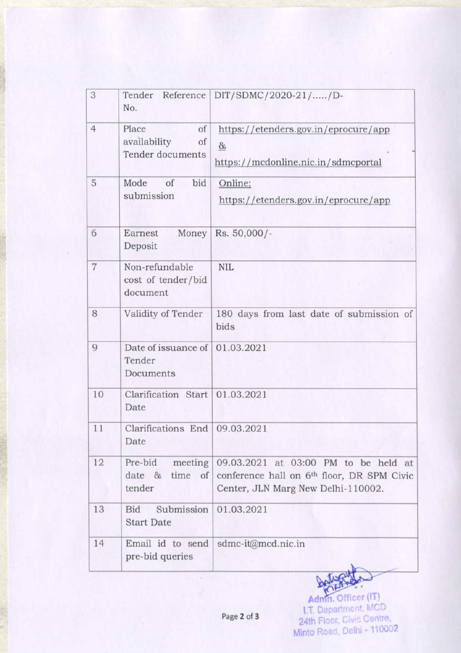| 3              | Tender Reference<br>No.                               | DIT/SDMC/2020-21//D-                                                                                                                 |
|----------------|-------------------------------------------------------|--------------------------------------------------------------------------------------------------------------------------------------|
| $\overline{4}$ | Place<br>of<br>availability<br>of<br>Tender documents | https://etenders.gov.in/eprocure/app<br>$\&$<br>https://mcdonline.nic.in/sdmcportal                                                  |
| 5              | bid<br>Mode<br>of<br>submission                       | Online;<br>https://etenders.gov.in/eprocure/app                                                                                      |
| 6              | Earnest<br>Money<br>Deposit                           | Rs. 50,000/-                                                                                                                         |
| $\overline{7}$ | Non-refundable<br>cost of tender/bid<br>document      | <b>NIL</b>                                                                                                                           |
| 8              | Validity of Tender                                    | 180 days from last date of submission of<br>bids                                                                                     |
| 9              | Date of issuance of<br>Tender<br>Documents            | 01.03.2021                                                                                                                           |
| 10             | Clarification Start<br>Date                           | 01.03.2021                                                                                                                           |
| 11             | Clarifications End<br>Date                            | 09.03.2021                                                                                                                           |
| 12             | Pre-bid<br>meeting<br>time of<br>date &<br>tender     | 09.03.2021 at 03:00 PM to be held at<br>conference hall on 6 <sup>th</sup> floor, DR SPM Civic<br>Center, JLN Marg New Delhi-110002. |
| 13             | Submission<br>Bid<br><b>Start Date</b>                | 01.03.2021                                                                                                                           |
| 14             | Email id to send<br>pre-bid queries                   | sdmc-it@mcd.nic.in                                                                                                                   |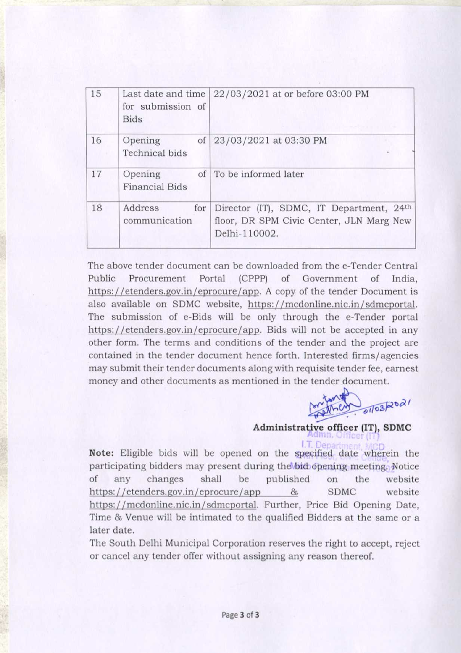| 15 | Last date and time<br>for submission of<br><b>Bids</b> | 22/03/2021 at or before 03:00 PM                                                                      |
|----|--------------------------------------------------------|-------------------------------------------------------------------------------------------------------|
| 16 | Οf<br>Opening<br><b>Technical</b> bids                 | 23/03/2021 at 03:30 PM                                                                                |
| 17 | Opening<br><b>Financial Bids</b>                       | of To be informed later                                                                               |
| 18 | Address<br>for<br>communication                        | Director (IT), SDMC, IT Department, 24th<br>floor, DR SPM Civic Center, JLN Marg New<br>Delhi-110002. |

The above tender document can be downloaded from the e-Tender Central Public Portal (CPPP) of Government Procurement of India. https://etenders.gov.in/eprocure/app. A copy of the tender Document is also available on SDMC website, https://mcdonline.nic.in/sdmcportal. The submission of e-Bids will be only through the e-Tender portal https://etenders.gov.in/eprocure/app. Bids will not be accepted in any other form. The terms and conditions of the tender and the project are contained in the tender document hence forth. Interested firms/agencies may submit their tender documents along with requisite tender fee, earnest money and other documents as mentioned in the tender document.

 $Mn$ 

#### Administrative officer (IT), SDMC

LT Note: Eligible bids will be opened on the specified date wherein the participating bidders may present during the bid opening meeting. Notice of any changes shall published be on the website https://etenders.gov.in/eprocure/app **SDMC** website  $8<sub>5</sub>$ https://mcdonline.nic.in/sdmcportal. Further, Price Bid Opening Date, Time & Venue will be intimated to the qualified Bidders at the same or a later date.

The South Delhi Municipal Corporation reserves the right to accept, reject or cancel any tender offer without assigning any reason thereof.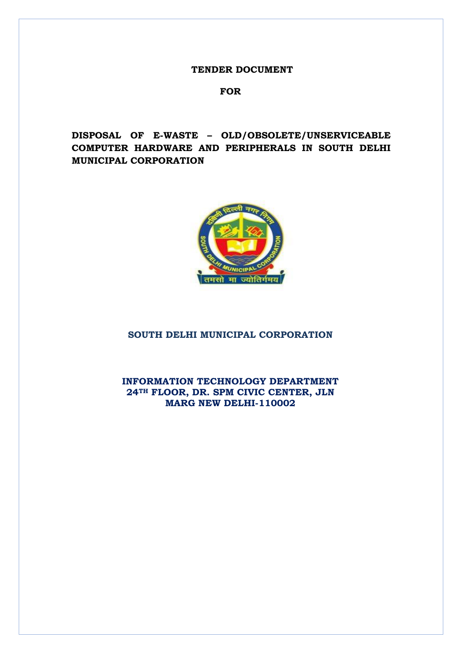#### **TENDER DOCUMENT**

#### **FOR**

**DISPOSAL OF E-WASTE – OLD/OBSOLETE/UNSERVICEABLE COMPUTER HARDWARE AND PERIPHERALS IN SOUTH DELHI MUNICIPAL CORPORATION**



#### **SOUTH DELHI MUNICIPAL CORPORATION**

**INFORMATION TECHNOLOGY DEPARTMENT 24TH FLOOR, DR. SPM CIVIC CENTER, JLN MARG NEW DELHI-110002**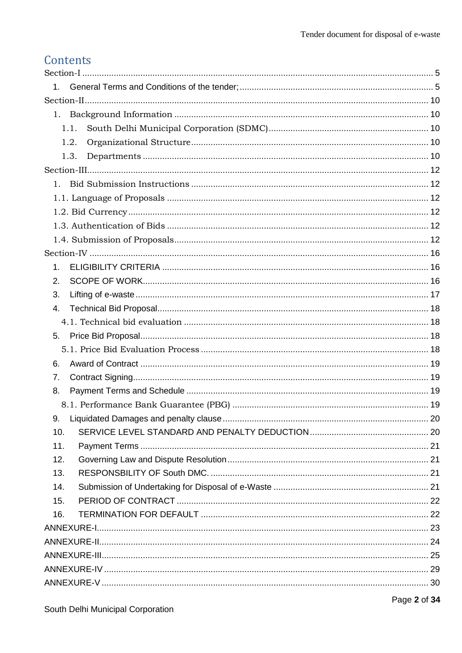## Contents

| $1_{-}$     |  |
|-------------|--|
|             |  |
|             |  |
| 1.1.        |  |
| 1.2.        |  |
| 1.3.        |  |
|             |  |
| $1_{\cdot}$ |  |
|             |  |
|             |  |
|             |  |
|             |  |
|             |  |
| 1.          |  |
| 2.          |  |
| 3.          |  |
| 4.          |  |
|             |  |
| 5.          |  |
|             |  |
| 6.          |  |
| 7.          |  |
| 8.          |  |
|             |  |
|             |  |
| 10.         |  |
| 11.         |  |
| 12.         |  |
| 13.         |  |
| 14.         |  |
| 15.         |  |
| 16.         |  |
|             |  |
|             |  |
|             |  |
|             |  |
|             |  |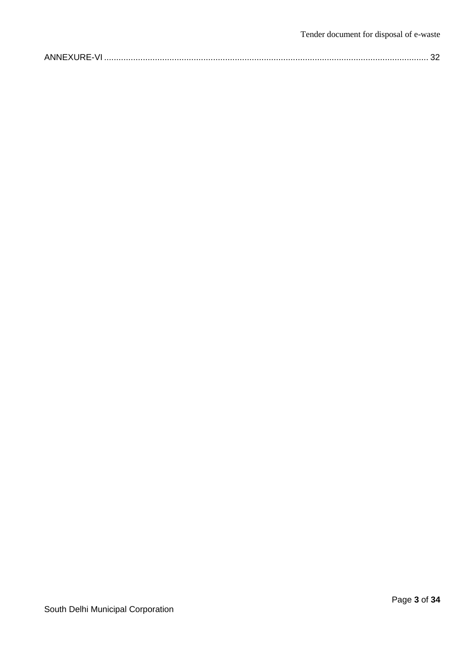| <b>ANNEXURE-VI</b> |
|--------------------|
|--------------------|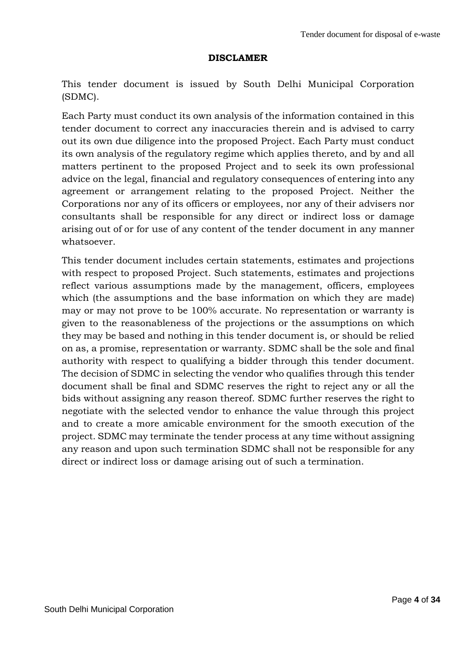### **DISCLAMER**

This tender document is issued by South Delhi Municipal Corporation (SDMC).

Each Party must conduct its own analysis of the information contained in this tender document to correct any inaccuracies therein and is advised to carry out its own due diligence into the proposed Project. Each Party must conduct its own analysis of the regulatory regime which applies thereto, and by and all matters pertinent to the proposed Project and to seek its own professional advice on the legal, financial and regulatory consequences of entering into any agreement or arrangement relating to the proposed Project. Neither the Corporations nor any of its officers or employees, nor any of their advisers nor consultants shall be responsible for any direct or indirect loss or damage arising out of or for use of any content of the tender document in any manner whatsoever.

This tender document includes certain statements, estimates and projections with respect to proposed Project. Such statements, estimates and projections reflect various assumptions made by the management, officers, employees which (the assumptions and the base information on which they are made) may or may not prove to be 100% accurate. No representation or warranty is given to the reasonableness of the projections or the assumptions on which they may be based and nothing in this tender document is, or should be relied on as, a promise, representation or warranty. SDMC shall be the sole and final authority with respect to qualifying a bidder through this tender document. The decision of SDMC in selecting the vendor who qualifies through this tender document shall be final and SDMC reserves the right to reject any or all the bids without assigning any reason thereof. SDMC further reserves the right to negotiate with the selected vendor to enhance the value through this project and to create a more amicable environment for the smooth execution of the project. SDMC may terminate the tender process at any time without assigning any reason and upon such termination SDMC shall not be responsible for any direct or indirect loss or damage arising out of such a termination.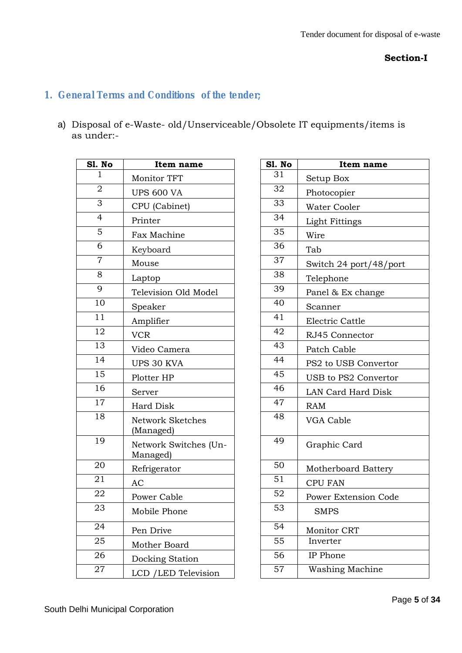**Section-I**

## 1. General Terms and Conditionsof the tende

a) Disposal of e-Waste- old/Unserviceable/Obsolete IT equipments/items is as under:-

| Sl. No         | Item name                         | Sl. No | Item name              |
|----------------|-----------------------------------|--------|------------------------|
| 1              | Monitor TFT                       | 31     | Setup Box              |
| $\overline{2}$ | <b>UPS 600 VA</b>                 | 32     | Photocopier            |
| 3              | CPU (Cabinet)                     | 33     | Water Cooler           |
| $\overline{4}$ | Printer                           | 34     | <b>Light Fittings</b>  |
| 5              | Fax Machine                       | 35     | Wire                   |
| 6              | Keyboard                          | 36     | Tab                    |
| $\overline{7}$ | Mouse                             | 37     | Switch 24 port/48/p    |
| 8              | Laptop                            | 38     | Telephone              |
| 9              | Television Old Model              | 39     | Panel & Ex change      |
| 10             | Speaker                           | 40     | Scanner                |
| 11             | Amplifier                         | 41     | Electric Cattle        |
| 12             | <b>VCR</b>                        | 42     | RJ45 Connector         |
| 13             | Video Camera                      | 43     | Patch Cable            |
| 14             | UPS 30 KVA                        | 44     | PS2 to USB Converto    |
| 15             | Plotter HP                        | 45     | USB to PS2 Converto    |
| 16             | Server                            | 46     | LAN Card Hard Disk     |
| 17             | Hard Disk                         | 47     | <b>RAM</b>             |
| 18             | Network Sketches<br>(Managed)     | 48     | VGA Cable              |
| 19             | Network Switches (Un-<br>Managed) | 49     | Graphic Card           |
| 20             | Refrigerator                      | 50     | Motherboard Battery    |
| 21             | $\rm AC$                          | 51     | <b>CPU FAN</b>         |
| 22             | Power Cable                       | 52     | Power Extension Cod    |
| 23             | Mobile Phone                      | 53     | <b>SMPS</b>            |
| 24             | Pen Drive                         | 54     | Monitor CRT            |
| 25             | Mother Board                      | 55     | Inverter               |
| 26             | Docking Station                   | 56     | IP Phone               |
| 27             | LCD / LED Television              | 57     | <b>Washing Machine</b> |
|                |                                   |        |                        |

| l. No           | Item name                            | Sl. No          | Item name              |
|-----------------|--------------------------------------|-----------------|------------------------|
| -1              | Monitor TFT                          | 31              | Setup Box              |
| $\overline{2}$  | <b>UPS 600 VA</b>                    | 32              | Photocopier            |
| $\mathfrak{Z}$  | CPU (Cabinet)                        | 33              | Water Cooler           |
| $\overline{4}$  | Printer                              | 34              | Light Fittings         |
| $\overline{5}$  | Fax Machine                          | 35              | Wire                   |
| 6               | Keyboard                             | 36              | Tab                    |
| $\overline{7}$  | Mouse                                | 37              | Switch 24 port/48/port |
| $\overline{8}$  | Laptop                               | 38              | Telephone              |
| $\overline{9}$  | Television Old Model                 | 39              | Panel & Ex change      |
| 10              | Speaker                              | 40              | Scanner                |
| $\overline{11}$ | Amplifier                            | 41              | Electric Cattle        |
| 12              | <b>VCR</b>                           | 42              | RJ45 Connector         |
| $\overline{13}$ | Video Camera                         | 43              | Patch Cable            |
| 14              | UPS 30 KVA                           | 44              | PS2 to USB Convertor   |
| $\overline{15}$ | Plotter HP                           | 45              | USB to PS2 Convertor   |
| $\overline{16}$ | Server                               | 46              | LAN Card Hard Disk     |
| 17              | Hard Disk                            | 47              | <b>RAM</b>             |
| 18              | <b>Network Sketches</b><br>(Managed) | 48              | VGA Cable              |
| $\overline{19}$ | Network Switches (Un-<br>Managed)    | 49              | Graphic Card           |
| $\overline{20}$ | Refrigerator                         | 50              | Motherboard Battery    |
| $\overline{21}$ | AC                                   | 51              | <b>CPU FAN</b>         |
| 22              | Power Cable                          | 52              | Power Extension Code   |
| $\overline{23}$ | Mobile Phone                         | $\overline{53}$ | <b>SMPS</b>            |
| 24              | Pen Drive                            | 54              | Monitor CRT            |
| 25              | Mother Board                         | 55              | Inverter               |
| $\overline{26}$ | Docking Station                      | 56              | IP Phone               |
| 27              | LCD /LED Television                  | 57              | <b>Washing Machine</b> |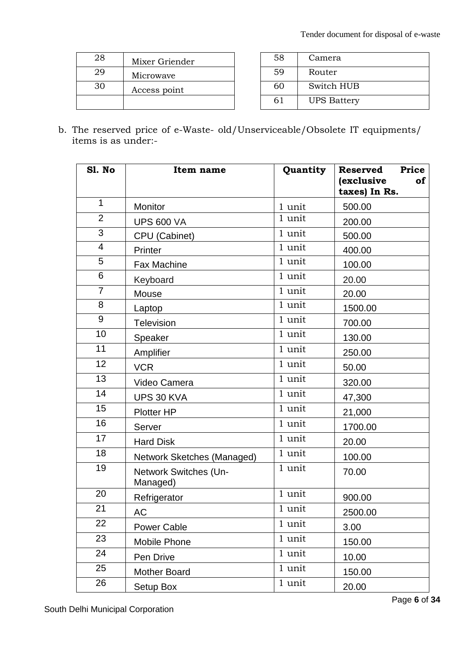| 28 | Mixer Griender | 58 | Camera             |
|----|----------------|----|--------------------|
| 29 | Microwave      | 59 | Router             |
| 30 | Access point   | 60 | Switch HUB         |
|    |                | 61 | <b>UPS Battery</b> |

b. The reserved price of e-Waste- old/Unserviceable/Obsolete IT equipments/ items is as under:-

| Sl. No         | Item name                         | Quantity | Price<br>Reserved<br><i>(exclusive</i><br>of |
|----------------|-----------------------------------|----------|----------------------------------------------|
|                |                                   |          | taxes) In Rs.                                |
| $\mathbf{1}$   | Monitor                           | 1 unit   | 500.00                                       |
| $\overline{2}$ | <b>UPS 600 VA</b>                 | 1 unit   | 200.00                                       |
| 3              | CPU (Cabinet)                     | 1 unit   | 500.00                                       |
| $\overline{4}$ | Printer                           | 1 unit   | 400.00                                       |
| 5              | <b>Fax Machine</b>                | 1 unit   | 100.00                                       |
| 6              | Keyboard                          | 1 unit   | 20.00                                        |
| $\overline{7}$ | Mouse                             | 1 unit   | 20.00                                        |
| 8              | Laptop                            | 1 unit   | 1500.00                                      |
| 9              | <b>Television</b>                 | 1 unit   | 700.00                                       |
| 10             | Speaker                           | 1 unit   | 130.00                                       |
| 11             | Amplifier                         | 1 unit   | 250.00                                       |
| 12             | <b>VCR</b>                        | 1 unit   | 50.00                                        |
| 13             | Video Camera                      | 1 unit   | 320.00                                       |
| 14             | UPS 30 KVA                        | 1 unit   | 47,300                                       |
| 15             | <b>Plotter HP</b>                 | 1 unit   | 21,000                                       |
| 16             | Server                            | 1 unit   | 1700.00                                      |
| 17             | <b>Hard Disk</b>                  | 1 unit   | 20.00                                        |
| 18             | Network Sketches (Managed)        | 1 unit   | 100.00                                       |
| 19             | Network Switches (Un-<br>Managed) | 1 unit   | 70.00                                        |
| 20             | Refrigerator                      | 1 unit   | 900.00                                       |
| 21             | AC                                | 1 unit   | 2500.00                                      |
| 22             | <b>Power Cable</b>                | 1 unit   | 3.00                                         |
| 23             | Mobile Phone                      | 1 unit   | 150.00                                       |
| 24             | Pen Drive                         | 1 unit   | 10.00                                        |
| 25             | <b>Mother Board</b>               | 1 unit   | 150.00                                       |
| 26             | Setup Box                         | 1 unit   | 20.00                                        |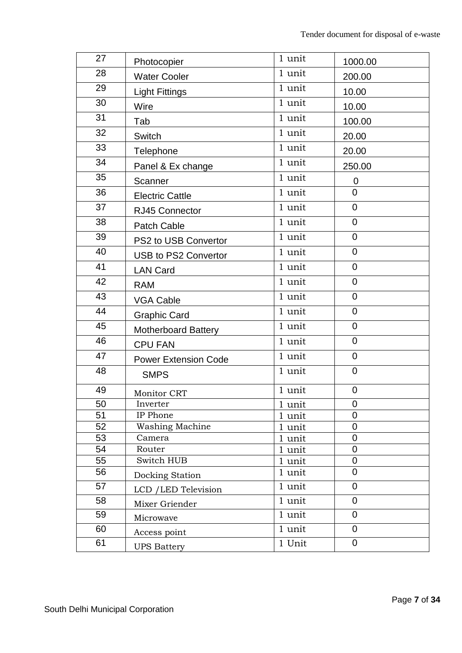| 27 | Photocopier                 | 1 unit | 1000.00        |
|----|-----------------------------|--------|----------------|
| 28 | <b>Water Cooler</b>         | 1 unit | 200.00         |
| 29 | <b>Light Fittings</b>       | 1 unit | 10.00          |
| 30 | Wire                        | 1 unit | 10.00          |
| 31 | Tab                         | 1 unit | 100.00         |
| 32 | Switch                      | 1 unit | 20.00          |
| 33 | Telephone                   | 1 unit | 20.00          |
| 34 | Panel & Ex change           | 1 unit | 250.00         |
| 35 | Scanner                     | 1 unit | $\mathbf 0$    |
| 36 | <b>Electric Cattle</b>      | 1 unit | $\overline{0}$ |
| 37 | RJ45 Connector              | 1 unit | $\mathbf 0$    |
| 38 | Patch Cable                 | 1 unit | $\overline{0}$ |
| 39 | PS2 to USB Convertor        | 1 unit | $\overline{0}$ |
| 40 | <b>USB to PS2 Convertor</b> | 1 unit | $\mathbf 0$    |
| 41 | <b>LAN Card</b>             | 1 unit | $\overline{0}$ |
| 42 | <b>RAM</b>                  | 1 unit | $\mathbf 0$    |
| 43 | <b>VGA Cable</b>            | 1 unit | $\mathbf 0$    |
| 44 | <b>Graphic Card</b>         | 1 unit | $\overline{0}$ |
| 45 | Motherboard Battery         | 1 unit | $\mathbf 0$    |
| 46 | <b>CPU FAN</b>              | 1 unit | 0              |
| 47 | <b>Power Extension Code</b> | 1 unit | $\mathbf 0$    |
| 48 | <b>SMPS</b>                 | 1 unit | $\overline{0}$ |
| 49 | Monitor CRT                 | 1 unit | $\overline{0}$ |
| 50 | Inverter                    | 1 unit | 0              |
| 51 | IP Phone                    | 1 unit | 0              |
| 52 | Washing Machine             | 1 unit | 0              |
| 53 | Camera                      | 1 unit | 0              |
| 54 | Router                      | 1 unit | $\overline{0}$ |
| 55 | Switch HUB                  | 1 unit | $\mathbf 0$    |
| 56 | Docking Station             | 1 unit | 0              |
| 57 | LCD / LED Television        | 1 unit | $\mathbf 0$    |
| 58 | Mixer Griender              | 1 unit | 0              |
| 59 | Microwave                   | 1 unit | $\mathbf 0$    |
| 60 | Access point                | 1 unit | $\mathbf 0$    |
| 61 | <b>UPS Battery</b>          | 1 Unit | $\mathbf 0$    |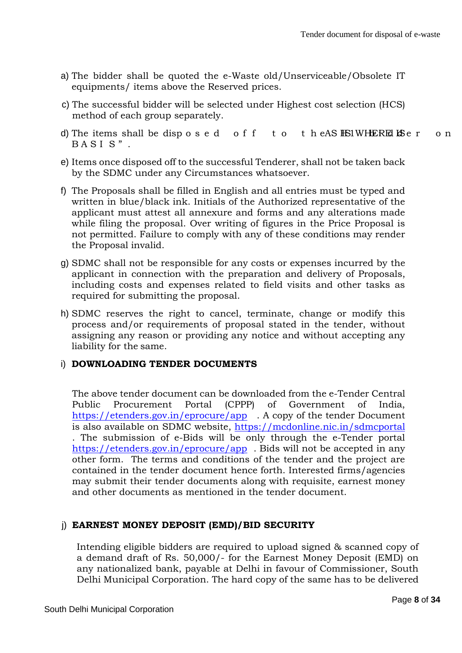- a) The bidder shall be quoted the e-Waste old/Unserviceable/Obsolete IT equipments/ items above the Reserved prices.
- c) The successful bidder will be selected under Highest cost selection (HCS) method of each group separately.
- d) The items shall be disposed off to the AS  $H\to W$ HERE ISSer on BASIS".
- e) Items once disposed off to the successful Tenderer, shall not be taken back by the SDMC under any Circumstances whatsoever.
- f) The Proposals shall be filled in English and all entries must be typed and written in blue/black ink. Initials of the Authorized representative of the applicant must attest all annexure and forms and any alterations made while filing the proposal. Over writing of figures in the Price Proposal is not permitted. Failure to comply with any of these conditions may render the Proposal invalid.
- g) SDMC shall not be responsible for any costs or expenses incurred by the applicant in connection with the preparation and delivery of Proposals, including costs and expenses related to field visits and other tasks as required for submitting the proposal.
- h) SDMC reserves the right to cancel, terminate, change or modify this process and/or requirements of proposal stated in the tender, without assigning any reason or providing any notice and without accepting any liability for the same.

#### i) **DOWNLOADING TENDER DOCUMENTS**

The above tender document can be downloaded from the e-Tender Central Public Procurement Portal (CPPP) of Government of India, <https://etenders.gov.in/eprocure/app>. A copy of the tender Document is also available on SDMC website,<https://mcdonline.nic.in/sdmcportal> . The submission of e-Bids will be only through the e-Tender portal <https://etenders.gov.in/eprocure/app>. Bids will not be accepted in any other form. The terms and conditions of the tender and the project are contained in the tender document hence forth. Interested firms/agencies may submit their tender documents along with requisite, earnest money and other documents as mentioned in the tender document.

#### j) **EARNEST MONEY DEPOSIT (EMD)/BID SECURITY**

Intending eligible bidders are required to upload signed & scanned copy of a demand draft of Rs. 50,000/- for the Earnest Money Deposit (EMD) on any nationalized bank, payable at Delhi in favour of Commissioner, South Delhi Municipal Corporation. The hard copy of the same has to be delivered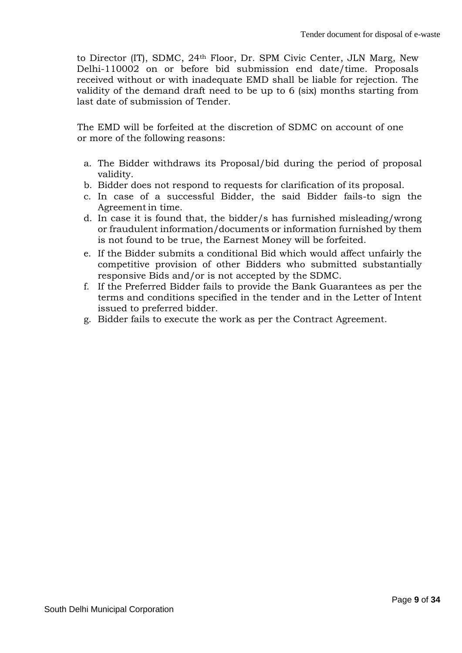to Director (IT), SDMC, 24th Floor, Dr. SPM Civic Center, JLN Marg, New Delhi-110002 on or before bid submission end date/time. Proposals received without or with inadequate EMD shall be liable for rejection. The validity of the demand draft need to be up to 6 (six) months starting from last date of submission of Tender.

The EMD will be forfeited at the discretion of SDMC on account of one or more of the following reasons:

- a. The Bidder withdraws its Proposal/bid during the period of proposal validity.
- b. Bidder does not respond to requests for clarification of its proposal.
- c. In case of a successful Bidder, the said Bidder fails-to sign the Agreementin time.
- d. In case it is found that, the bidder/s has furnished misleading/wrong or fraudulent information/documents or information furnished by them is not found to be true, the Earnest Money will be forfeited.
- e. If the Bidder submits a conditional Bid which would affect unfairly the competitive provision of other Bidders who submitted substantially responsive Bids and/or is not accepted by the SDMC.
- f. If the Preferred Bidder fails to provide the Bank Guarantees as per the terms and conditions specified in the tender and in the Letter of Intent issued to preferred bidder.
- g. Bidder fails to execute the work as per the Contract Agreement.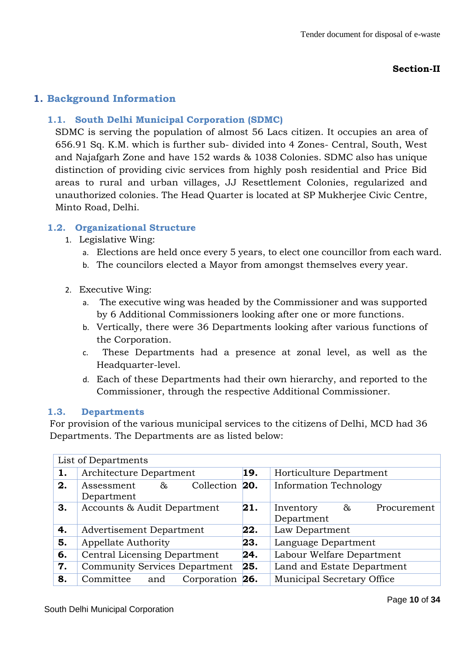## **Section-II**

## **1. Background Information**

#### **1.1. South Delhi Municipal Corporation (SDMC)**

SDMC is serving the population of almost 56 Lacs citizen. It occupies an area of 656.91 Sq. K.M. which is further sub- divided into 4 Zones- Central, South, West and Najafgarh Zone and have 152 wards & 1038 Colonies. SDMC also has unique distinction of providing civic services from highly posh residential and Price Bid areas to rural and urban villages, JJ Resettlement Colonies, regularized and unauthorized colonies. The Head Quarter is located at SP Mukherjee Civic Centre, Minto Road, Delhi.

#### **1.2. Organizational Structure**

- 1. Legislative Wing:
	- a. Elections are held once every 5 years, to elect one councillor from each ward.
	- b. The councilors elected a Mayor from amongst themselves every year.
- 2. Executive Wing:
	- a. The executive wing was headed by the Commissioner and was supported by 6 Additional Commissioners looking after one or more functions.
	- b. Vertically, there were 36 Departments looking after various functions of the Corporation.
	- c. These Departments had a presence at zonal level, as well as the Headquarter-level.
	- d. Each of these Departments had their own hierarchy, and reported to the Commissioner, through the respective Additional Commissioner.

#### **1.3. Departments**

For provision of the various municipal services to the citizens of Delhi, MCD had 36 Departments. The Departments are as listed below:

|    | List of Departments                             |     |                                             |
|----|-------------------------------------------------|-----|---------------------------------------------|
| 1. | Architecture Department                         |     | Horticulture Department                     |
| 2. | Collection 20.<br>&<br>Assessment<br>Department |     | <b>Information Technology</b>               |
| 3. | Accounts & Audit Department                     |     | &<br>Inventory<br>Procurement<br>Department |
| 4. | Advertisement Department                        | 22. | Law Department                              |
| 5. | Appellate Authority                             | 23. | Language Department                         |
| 6. | Central Licensing Department                    | 24. | Labour Welfare Department                   |
| 7. | <b>Community Services Department</b>            | 25. | Land and Estate Department                  |
| 8. | Committee<br>Corporation<br>and                 | 26. | Municipal Secretary Office                  |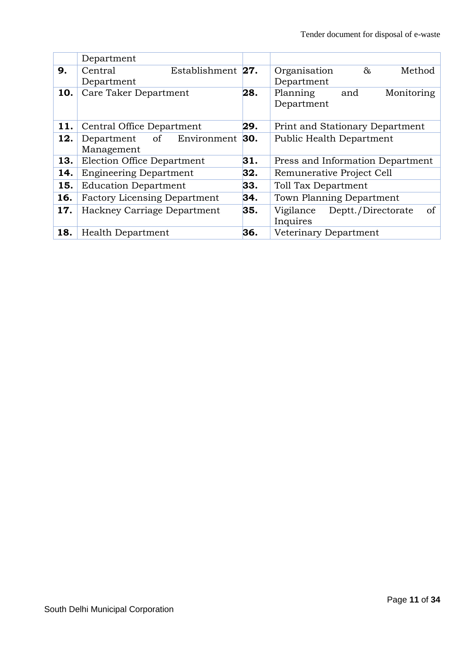|     | Department                          |     |                                                              |
|-----|-------------------------------------|-----|--------------------------------------------------------------|
| 9.  | Central<br>Establishment 27.        |     | $\&$<br>Organisation<br>Method                               |
|     | Department                          |     | Department                                                   |
| 10. | Care Taker Department               | 28. | Planning<br>Monitoring<br>and<br>Department                  |
| 11. | Central Office Department           | 29. | <b>Print and Stationary Department</b>                       |
| 12. | Department of<br>Environment        | 30. | Public Health Department                                     |
|     | Management                          |     |                                                              |
| 13. | Election Office Department          | 31. | Press and Information Department                             |
| 14. | <b>Engineering Department</b>       | 32. | Remunerative Project Cell                                    |
| 15. | <b>Education Department</b>         | 33. | Toll Tax Department                                          |
| 16. | <b>Factory Licensing Department</b> | 34. | Town Planning Department                                     |
| 17. | Hackney Carriage Department         | 35. | <sub>of</sub><br>Deptt./Directorate<br>Vigilance<br>Inquires |
| 18. | <b>Health Department</b>            | 36. | Veterinary Department                                        |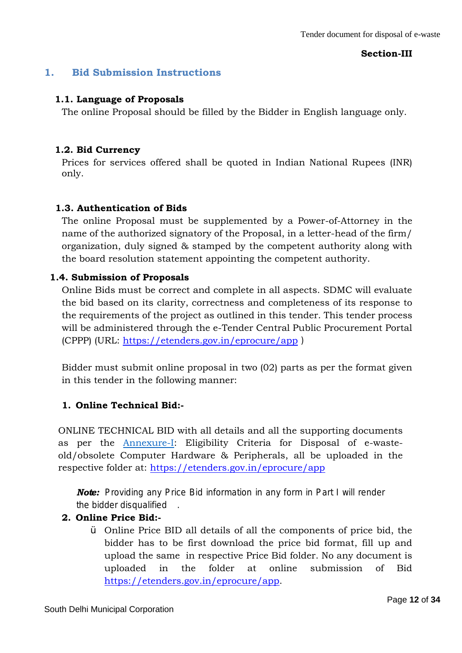#### **Section-III**

## **1. Bid Submission Instructions**

#### **1.1. Language of Proposals**

The online Proposal should be filled by the Bidder in English language only.

#### **1.2. Bid Currency**

Prices for services offered shall be quoted in Indian National Rupees (INR) only.

### **1.3. Authentication of Bids**

The online Proposal must be supplemented by a Power-of-Attorney in the name of the authorized signatory of the Proposal, in a letter-head of the firm/ organization, duly signed & stamped by the competent authority along with the board resolution statement appointing the competent authority.

### **1.4. Submission of Proposals**

Online Bids must be correct and complete in all aspects. SDMC will evaluate the bid based on its clarity, correctness and completeness of its response to the requirements of the project as outlined in this tender. This tender process will be administered through the e-Tender Central Public Procurement Portal (CPPP) (URL:<https://etenders.gov.in/eprocure/app> *[\)](http://www.tenderwizard.com/SOUTHDMCETENDER))*

Bidder must submit online proposal in two (02) parts as per the format given in this tender in the following manner:

### **1. Online Technical Bid:-**

ONLINE TECHNICAL BID with all details and all the supporting documents as per the Annexure-I: Eligibility Criteria for Disposal of e-wasteold/obsolete Computer Hardware & Peripherals, all be uploaded in the respective folder at:<https://etenders.gov.in/eprocure/app>

*Note: Providing any Price Bid information in any form in Part I will the bidder disqualified .*

### **2. Online Price Bid:-**

¾ Online Price BID all details of all the components of price bid, the bidder has to be first download the price bid format, fill up and upload the same in respective Price Bid folder. No any document is uploaded in the folder at online submission of Bid [https://etenders.gov.in/eprocure/app.](https://etenders.gov.in/eprocure/app)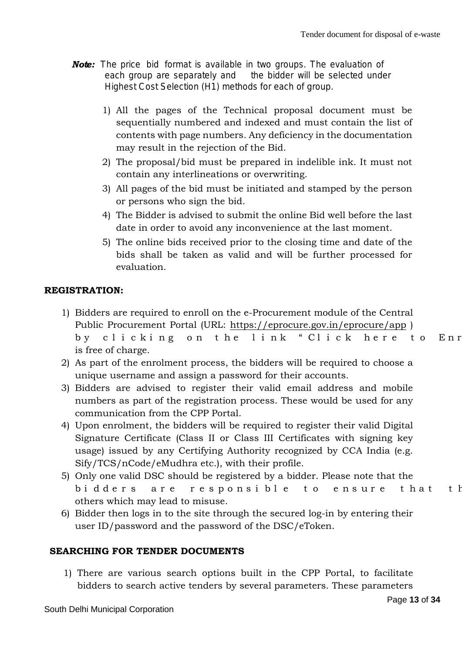- *Note:* The price bid format is available in two groups. The evaluation each group are separately and the bidder will be selected un Highest Cost Selection (H1) methods for each of g
	- 1) All the pages of the Technical proposal document must be sequentially numbered and indexed and must contain the list of contents with page numbers. Any deficiency in the documentation may result in the rejection of the Bid.
	- 2) The proposal/bid must be prepared in indelible ink. It must not contain any interlineations or overwriting.
	- 3) All pages of the bid must be initiated and stamped by the person or persons who sign the bid.
	- 4) The Bidder is advised to submit the online Bid well before the last date in order to avoid any inconvenience at the last moment.
	- 5) The online bids received prior to the closing time and date of the bids shall be taken as valid and will be further processed for evaluation.

## **REGISTRATION:**

- 1) Bidders are required to enroll on the e-Procurement module of the Central Public Procurement Portal (URL:<https://eprocure.gov.in/eprocure/app> ) by clicking on the link "Click here to Enr is free of charge.
- 2) As part of the enrolment process, the bidders will be required to choose a unique username and assign a password for their accounts.
- 3) Bidders are advised to register their valid email address and mobile numbers as part of the registration process. These would be used for any communication from the CPP Portal.
- 4) Upon enrolment, the bidders will be required to register their valid Digital Signature Certificate (Class II or Class III Certificates with signing key usage) issued by any Certifying Authority recognized by CCA India (e.g. Sify/TCS/nCode/eMudhra etc.), with their profile.
- 5) Only one valid DSC should be registered by a bidder. Please note that the bidders are responsible to ensure that the others which may lead to misuse.
- 6) Bidder then logs in to the site through the secured log-in by entering their user ID/password and the password of the DSC/eToken.

## **SEARCHING FOR TENDER DOCUMENTS**

1) There are various search options built in the CPP Portal, to facilitate bidders to search active tenders by several parameters. These parameters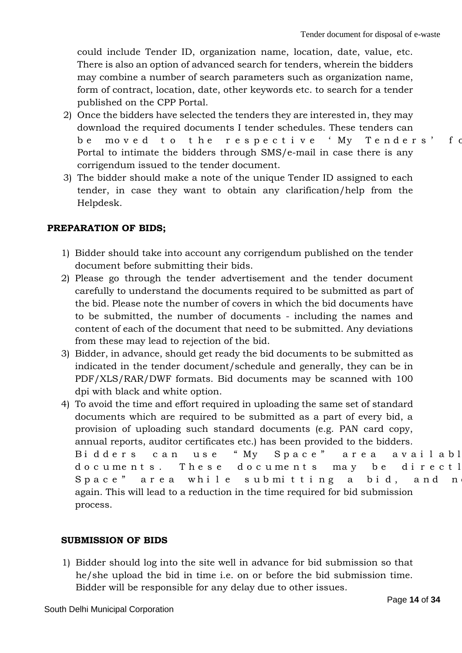could include Tender ID, organization name, location, date, value, etc. There is also an option of advanced search for tenders, wherein the bidders may combine a number of search parameters such as organization name, form of contract, location, date, other keywords etc. to search for a tender published on the CPP Portal.

- 2) Once the bidders have selected the tenders they are interested in, they may download the required documents I tender schedules. These tenders can be moved to the respective 'My Tenders' fo Portal to intimate the bidders through SMS/e-mail in case there is any corrigendum issued to the tender document.
- 3) The bidder should make a note of the unique Tender ID assigned to each tender, in case they want to obtain any clarification/help from the Helpdesk.

#### **PREPARATION OF BIDS;**

- 1) Bidder should take into account any corrigendum published on the tender document before submitting their bids.
- 2) Please go through the tender advertisement and the tender document carefully to understand the documents required to be submitted as part of the bid. Please note the number of covers in which the bid documents have to be submitted, the number of documents - including the names and content of each of the document that need to be submitted. Any deviations from these may lead to rejection of the bid.
- 3) Bidder, in advance, should get ready the bid documents to be submitted as indicated in the tender document/schedule and generally, they can be in PDF/XLS/RAR/DWF formats. Bid documents may be scanned with 100 dpi with black and white option.
- 4) To avoid the time and effort required in uploading the same set of standard documents which are required to be submitted as a part of every bid, a provision of uploading such standard documents (e.g. PAN card copy, annual reports, auditor certificates etc.) has been provided to the bidders. Bidders can use "My Space" area availabl documents. These documents may be directl Space" area while submitting a bid, and n again. This will lead to a reduction in the time required for bid submission process.

#### **SUBMISSION OF BIDS**

1) Bidder should log into the site well in advance for bid submission so that he/she upload the bid in time i.e. on or before the bid submission time. Bidder will be responsible for any delay due to other issues.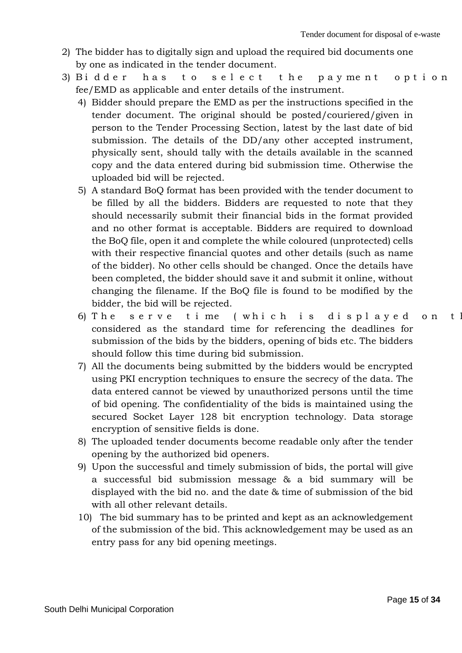- 2) The bidder has to digitally sign and upload the required bid documents one by one as indicated in the tender document.
- 3) Bidder has to select the payment option fee/EMD as applicable and enter details of the instrument.
	- 4) Bidder should prepare the EMD as per the instructions specified in the tender document. The original should be posted/couriered/given in person to the Tender Processing Section, latest by the last date of bid submission. The details of the DD/any other accepted instrument, physically sent, should tally with the details available in the scanned copy and the data entered during bid submission time. Otherwise the uploaded bid will be rejected.
	- 5) A standard BoQ format has been provided with the tender document to be filled by all the bidders. Bidders are requested to note that they should necessarily submit their financial bids in the format provided and no other format is acceptable. Bidders are required to download the BoQ file, open it and complete the while coloured (unprotected) cells with their respective financial quotes and other details (such as name of the bidder). No other cells should be changed. Once the details have been completed, the bidder should save it and submit it online, without changing the filename. If the BoQ file is found to be modified by the bidder, the bid will be rejected.
	- 6) The serve time (which is displayed on the bidders' data. considered as the standard time for referencing the deadlines for submission of the bids by the bidders, opening of bids etc. The bidders should follow this time during bid submission.
	- 7) All the documents being submitted by the bidders would be encrypted using PKI encryption techniques to ensure the secrecy of the data. The data entered cannot be viewed by unauthorized persons until the time of bid opening. The confidentiality of the bids is maintained using the secured Socket Layer 128 bit encryption technology. Data storage encryption of sensitive fields is done.
	- 8) The uploaded tender documents become readable only after the tender opening by the authorized bid openers.
	- 9) Upon the successful and timely submission of bids, the portal will give a successful bid submission message & a bid summary will be displayed with the bid no. and the date & time of submission of the bid with all other relevant details.
	- 10) The bid summary has to be printed and kept as an acknowledgement of the submission of the bid. This acknowledgement may be used as an entry pass for any bid opening meetings.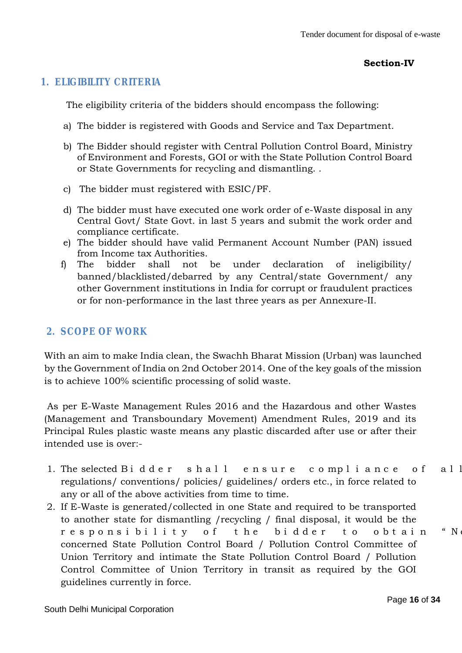## **1. FLIGIBILITY CRITERI**

The eligibility criteria of the bidders should encompass the following:

- a) The bidder is registered with Goods and Service and Tax Department.
- b) The Bidder should register with Central Pollution Control Board, Ministry of Environment and Forests, GOI or with the State Pollution Control Board or State Governments for recycling and dismantling. .
- c) The bidder must registered with ESIC/PF.
- d) The bidder must have executed one work order of e-Waste disposal in any Central Govt/ State Govt. in last 5 years and submit the work order and compliance certificate.
- e) The bidder should have valid Permanent Account Number (PAN) issued from Income tax Authorities.
- f) The bidder shall not be under declaration of ineligibility/ banned/blacklisted/debarred by any Central/state Government/ any other Government institutions in India for corrupt or fraudulent practices or for non-performance in the last three years as per Annexure-II.

## **2. SCOPE OF WORK**

With an aim to make India clean, the Swachh Bharat Mission (Urban) was launched by the Government of India on 2nd October 2014. One of the key goals of the mission is to achieve 100% scientific processing of solid waste.

As per E-Waste Management Rules 2016 and the Hazardous and other Wastes (Management and Transboundary Movement) Amendment Rules, 2019 and its Principal Rules plastic waste means any plastic discarded after use or after their intended use is over:-

- 1. The selected Bidder shall ensure compliance of all regulations/ conventions/ policies/ guidelines/ orders etc., in force related to any or all of the above activities from time to time.
- 2. If E-Waste is generated/collected in one State and required to be transported to another state for dismantling /recycling / final disposal, it would be the responsibility of the bidder to obtain "No concerned State Pollution Control Board / Pollution Control Committee of Union Territory and intimate the State Pollution Control Board / Pollution Control Committee of Union Territory in transit as required by the GOI guidelines currently in force.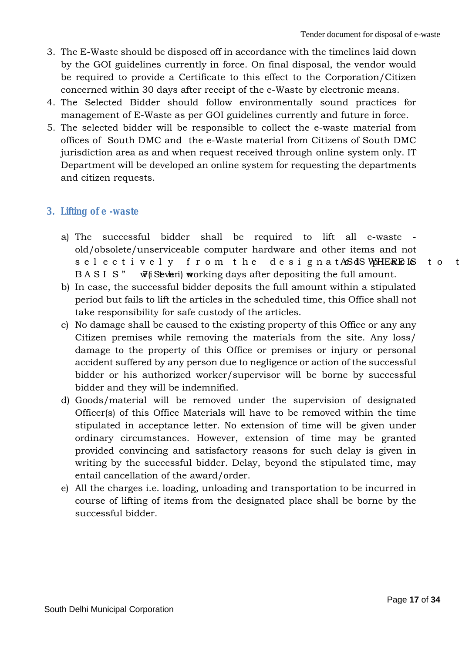- 3. The E-Waste should be disposed off in accordance with the timelines laid down by the GOI guidelines currently in force. On final disposal, the vendor would be required to provide a Certificate to this effect to the Corporation/Citizen concerned within 30 days after receipt of the e-Waste by electronic means.
- 4. The Selected Bidder should follow environmentally sound practices for management of E-Waste as per GOI guidelines currently and future in force.
- 5. The selected bidder will be responsible to collect the e-waste material from offices of South DMC and the e-Waste material from Citizens of South DMC jurisdiction area as and when request received through online system only. IT Department will be developed an online system for requesting the departments and citizen requests.

## **3.** Lifting of ewaste

- a) The successful bidder shall be required to lift all e-waste old/obsolete/unserviceable computer hardware and other items and not selectively from the designatASdSWHERE IS to t BASIS"  $\vec{w}$  (i Seven) working days after depositing the full amount.
- b) In case, the successful bidder deposits the full amount within a stipulated period but fails to lift the articles in the scheduled time, this Office shall not take responsibility for safe custody of the articles.
- c) No damage shall be caused to the existing property of this Office or any any Citizen premises while removing the materials from the site. Any loss/ damage to the property of this Office or premises or injury or personal accident suffered by any person due to negligence or action of the successful bidder or his authorized worker/supervisor will be borne by successful bidder and they will be indemnified.
- d) Goods/material will be removed under the supervision of designated Officer(s) of this Office Materials will have to be removed within the time stipulated in acceptance letter. No extension of time will be given under ordinary circumstances. However, extension of time may be granted provided convincing and satisfactory reasons for such delay is given in writing by the successful bidder. Delay, beyond the stipulated time, may entail cancellation of the award/order.
- e) All the charges i.e. loading, unloading and transportation to be incurred in course of lifting of items from the designated place shall be borne by the successful bidder.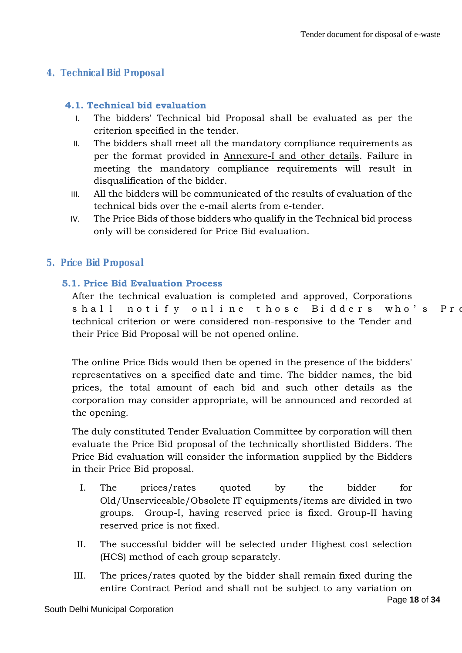## **4.** Technical Bid Propos

#### **4.1. Technical bid evaluation**

- I. The bidders' Technical bid Proposal shall be evaluated as per the criterion specified in the tender.
- II. The bidders shall meet all the mandatory compliance requirements as per the format provided in Annexure-I and other details. Failure in meeting the mandatory compliance requirements will result in disqualification of the bidder.
- III. All the bidders will be communicated of the results of evaluation of the technical bids over the e-mail alerts from e-tender.
- IV. The Price Bids of those bidders who qualify in the Technical bid process only will be considered for Price Bid evaluation.

#### **5. Price Bid Propos**

#### **5.1. Price Bid Evaluation Process**

After the technical evaluation is completed and approved, Corporations shall notify online those Bidders who's Pro technical criterion or were considered non-responsive to the Tender and their Price Bid Proposal will be not opened online.

The online Price Bids would then be opened in the presence of the bidders' representatives on a specified date and time. The bidder names, the bid prices, the total amount of each bid and such other details as the corporation may consider appropriate, will be announced and recorded at the opening.

The duly constituted Tender Evaluation Committee by corporation will then evaluate the Price Bid proposal of the technically shortlisted Bidders. The Price Bid evaluation will consider the information supplied by the Bidders in their Price Bid proposal.

- I. The prices/rates quoted by the bidder for Old/Unserviceable/Obsolete IT equipments/items are divided in two groups. Group-I, having reserved price is fixed. Group-II having reserved price is not fixed.
- II. The successful bidder will be selected under Highest cost selection (HCS) method of each group separately.
- III. The prices/rates quoted by the bidder shall remain fixed during the entire Contract Period and shall not be subject to any variation on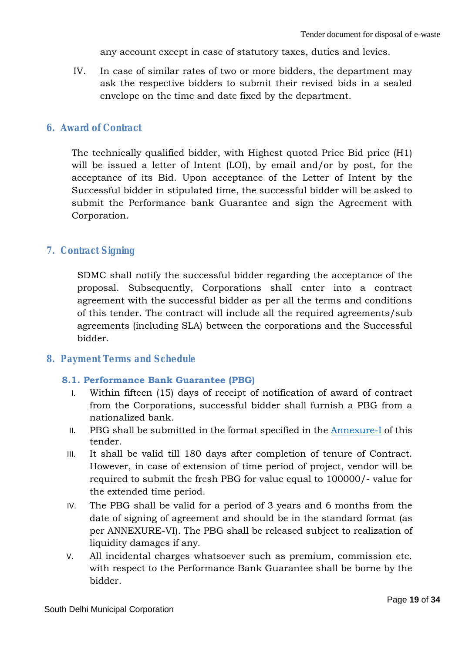any account except in case of statutory taxes, duties and levies.

IV. In case of similar rates of two or more bidders, the department may ask the respective bidders to submit their revised bids in a sealed envelope on the time and date fixed by the department.

#### **6.** Award of Contra

The technically qualified bidder, with Highest quoted Price Bid price (H1) will be issued a letter of Intent (LOI), by email and/or by post, for the acceptance of its Bid. Upon acceptance of the Letter of Intent by the Successful bidder in stipulated time, the successful bidder will be asked to submit the Performance bank Guarantee and sign the Agreement with Corporation.

### **7.** Contract Signir

SDMC shall notify the successful bidder regarding the acceptance of the proposal. Subsequently, Corporations shall enter into a contract agreement with the successful bidder as per all the terms and conditions of this tender. The contract will include all the required agreements/sub agreements (including SLA) between the corporations and the Successful bidder.

#### **8. Payment Terms and Sched**

#### **8.1. Performance Bank Guarantee (PBG)**

- I. Within fifteen (15) days of receipt of notification of award of contract from the Corporations, successful bidder shall furnish a PBG from a nationalized bank.
- II. PBG shall be submitted in the format specified in the **Annexure-I** of this tender.
- III. It shall be valid till 180 days after completion of tenure of Contract. However, in case of extension of time period of project, vendor will be required to submit the fresh PBG for value equal to 100000/- value for the extended time period.
- IV. The PBG shall be valid for a period of 3 years and 6 months from the date of signing of agreement and should be in the standard format (as per ANNEXURE-VI). The PBG shall be released subject to realization of liquidity damages if any.
- V. All incidental charges whatsoever such as premium, commission etc. with respect to the Performance Bank Guarantee shall be borne by the bidder.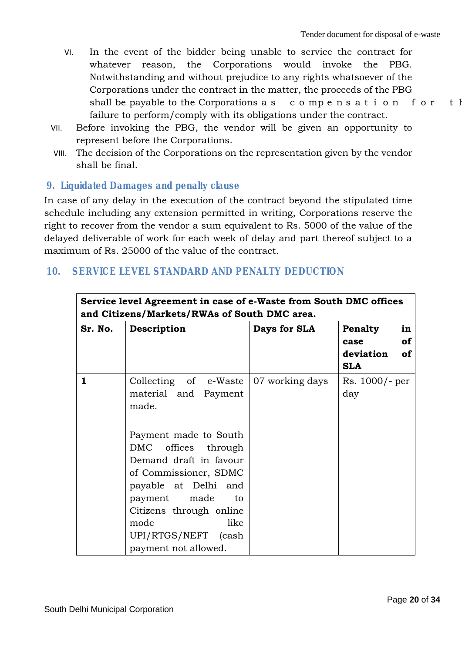- VI. In the event of the bidder being unable to service the contract for whatever reason, the Corporations would invoke the PBG. Notwithstanding and without prejudice to any rights whatsoever of the Corporations under the contract in the matter, the proceeds of the PBG shall be payable to the Corporations  $a s$  compensation for the failure to perform/comply with its obligations under the contract.
- VII. Before invoking the PBG, the vendor will be given an opportunity to represent before the Corporations.
- VIII. The decision of the Corporations on the representation given by the vendor shall be final.

## **9.** Liquidated Damages and penalty cla

In case of any delay in the execution of the contract beyond the stipulated time schedule including any extension permitted in writing, Corporations reserve the right to recover from the vendor a sum equivalent to Rs. 5000 of the value of the delayed deliverable of work for each week of delay and part thereof subject to a maximum of Rs. 25000 of the value of the contract.

## **10. SERVICE LEVEL STANDARD AND PENALTY DEDUCTIC**

|         | Service level Agreement in case of e-Waste from South DMC offices<br>and Citizens/Markets/RWAs of South DMC area.                                                                                                                                                                                                            |              |                                                                  |
|---------|------------------------------------------------------------------------------------------------------------------------------------------------------------------------------------------------------------------------------------------------------------------------------------------------------------------------------|--------------|------------------------------------------------------------------|
| Sr. No. | Description                                                                                                                                                                                                                                                                                                                  | Days for SLA | Penalty<br>in<br><b>of</b><br>case<br>deviation of<br><b>SLA</b> |
| 1       | Collecting of e-Waste $\vert$ 07 working days<br>material and Payment<br>made.<br>Payment made to South<br>DMC<br>offices through<br>Demand draft in favour<br>of Commissioner, SDMC<br>payable at Delhi and<br>payment made<br>to<br>Citizens through online<br>like<br>mode<br>UPI/RTGS/NEFT (cash<br>payment not allowed. |              | $Rs. 1000/-$ per<br>day                                          |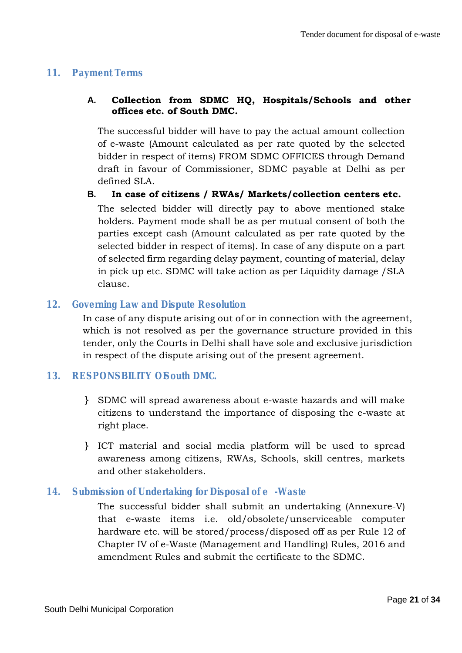## **11. Payment Terms**

## **A. Collection from SDMC HQ, Hospitals/Schools and other offices etc. of South DMC.**

The successful bidder will have to pay the actual amount collection of e-waste (Amount calculated as per rate quoted by the selected bidder in respect of items) FROM SDMC OFFICES through Demand draft in favour of Commissioner, SDMC payable at Delhi as per defined SLA.

#### **B. In case of citizens / RWAs/ Markets/collection centers etc.**

The selected bidder will directly pay to above mentioned stake holders. Payment mode shall be as per mutual consent of both the parties except cash (Amount calculated as per rate quoted by the selected bidder in respect of items). In case of any dispute on a part of selected firm regarding delay payment, counting of material, delay in pick up etc. SDMC will take action as per Liquidity damage /SLA clause.

### 12. Governing Law and Dispute Resolution

In case of any dispute arising out of or in connection with the agreement, which is not resolved as per the governance structure provided in this tender, only the Courts in Delhi shall have sole and exclusive jurisdiction in respect of the dispute arising out of the present agreement.

## **13. RESPONSBILITY OF South DMC .**

- ` SDMC will spread awareness about e-waste hazards and will make citizens to understand the importance of disposing the e-waste at right place.
- ` ICT material and social media platform will be used to spread awareness among citizens, RWAs, Schools, skill centres, markets and other stakeholders.

### 14. Submission of Undertaking for Disposal of Waste

The successful bidder shall submit an undertaking (Annexure-V) that e-waste items i.e. old/obsolete/unserviceable computer hardware etc. will be stored/process/disposed off as per Rule 12 of Chapter IV of e-Waste (Management and Handling) Rules, 2016 and amendment Rules and submit the certificate to the SDMC.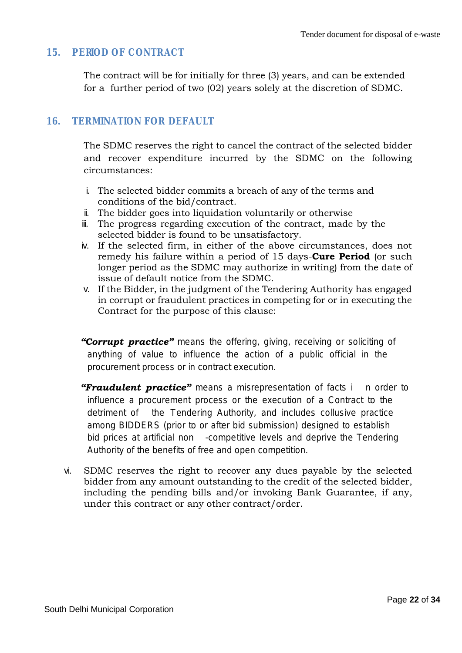## 15. **PERIOD OF CONTRACT**

The contract will be for initially for three (3) years, and can be extended for a further period of two (02) years solely at the discretion of SDMC.

## **16. TERMINATION FOR DEFAULT**

The SDMC reserves the right to cancel the contract of the selected bidder and recover expenditure incurred by the SDMC on the following circumstances:

- i. The selected bidder commits a breach of any of the terms and conditions of the bid/contract.
- ii. The bidder goes into liquidation voluntarily or otherwise
- iii. The progress regarding execution of the contract, made by the selected bidder is found to be unsatisfactory.
- iv. If the selected firm, in either of the above circumstances, does not remedy his failure within a period of 15 days-**Cure Period** (or such longer period as the SDMC may authorize in writing) from the date of issue of default notice from the SDMC.
- v. If the Bidder, in the judgment of the Tendering Authority has engaged in corrupt or fraudulent practices in competing for or in executing the Contract for the purpose of this clause:
- "**Corrupt practice"** means the offering, giving, receiving or soliciting anything of value to influence the action of a public official procurement process or in contract execution.
- "Fraudulent practice" means a misrepresentation of facts in order to *influence a procurement process or the execution of a Contract detriment of the Tendering Authority, and includes collusive practional* among BIDDERS (prior to or after bid submission) designed to es *bid prices at artificial non-competitive levels and deprive the Tender* Authority of the benefits of free and open competition.
- vi. SDMC reserves the right to recover any dues payable by the selected bidder from any amount outstanding to the credit of the selected bidder, including the pending bills and/or invoking Bank Guarantee, if any, under this contract or any other contract/order.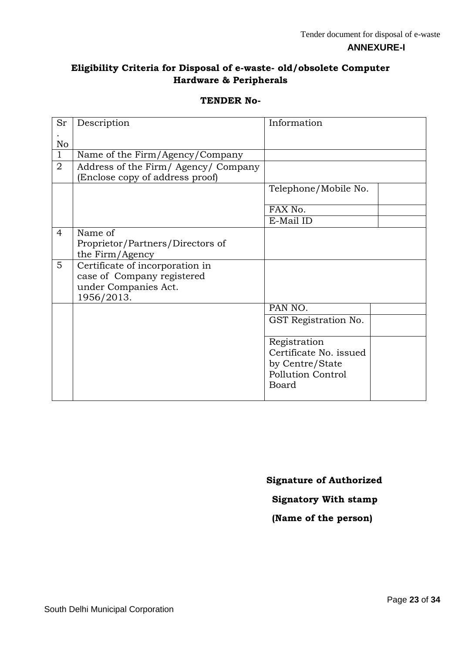## **Eligibility Criteria for Disposal of e-waste- old/obsolete Computer Hardware & Peripherals**

#### **TENDER No-**

| Sr             | Description                          | Information              |
|----------------|--------------------------------------|--------------------------|
|                |                                      |                          |
| No             |                                      |                          |
| $\mathbf{1}$   | Name of the Firm/Agency/Company      |                          |
| $\overline{2}$ | Address of the Firm/ Agency/ Company |                          |
|                | (Enclose copy of address proof)      |                          |
|                |                                      | Telephone/Mobile No.     |
|                |                                      |                          |
|                |                                      | FAX No.                  |
|                |                                      | E-Mail ID                |
| $\overline{4}$ | Name of                              |                          |
|                | Proprietor/Partners/Directors of     |                          |
|                | the Firm/Agency                      |                          |
| 5              | Certificate of incorporation in      |                          |
|                | case of Company registered           |                          |
|                | under Companies Act.                 |                          |
|                | 1956/2013.                           |                          |
|                |                                      | PAN NO.                  |
|                |                                      | GST Registration No.     |
|                |                                      |                          |
|                |                                      | Registration             |
|                |                                      | Certificate No. issued   |
|                |                                      | by Centre/State          |
|                |                                      | <b>Pollution Control</b> |
|                |                                      | <b>Board</b>             |
|                |                                      |                          |

#### **Signature of Authorized**

## **Signatory With stamp**

## **(Name of the person)**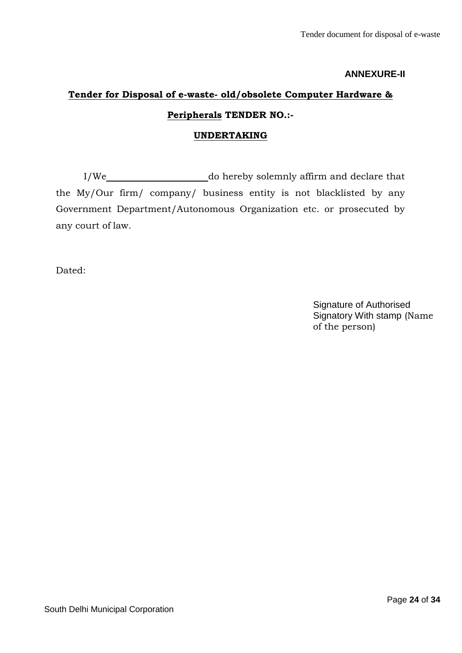#### **ANNEXURE-II**

# **Tender for Disposal of e-waste- old/obsolete Computer Hardware & Peripherals TENDER NO.:-**

#### **UNDERTAKING**

I/We do hereby solemnly affirm and declare that the My/Our firm/ company/ business entity is not blacklisted by any Government Department/Autonomous Organization etc. or prosecuted by any court of law.

Dated:

Signature of Authorised Signatory With stamp (Name of the person)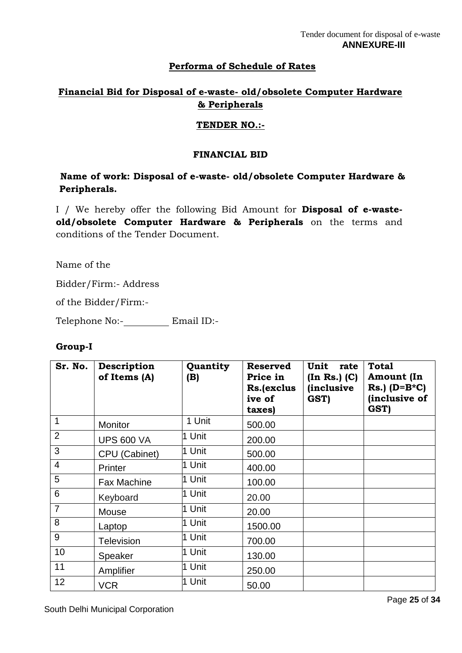#### **Performa of Schedule of Rates**

## **Financial Bid for Disposal of e-waste- old/obsolete Computer Hardware & Peripherals**

#### **TENDER NO.:-**

#### **FINANCIAL BID**

**Name of work: Disposal of e-waste- old/obsolete Computer Hardware & Peripherals.**

I / We hereby offer the following Bid Amount for **Disposal of e-wasteold/obsolete Computer Hardware & Peripherals** on the terms and conditions of the Tender Document.

Name of the

Bidder/Firm:- Address

of the Bidder/Firm:-

Telephone No:-<br>
Email ID:-

#### **Group-I**

| Sr. No.        | Description<br>of Items (A) | Quantity<br>(B) | <b>Reserved</b><br>Price in<br>Rs.(exclus<br>ive of<br>taxes) | Unit<br>rate<br>(In Rs.) (C)<br><i><b>inclusive</b></i><br>GST) | <b>Total</b><br>Amount (In<br>$Rs.$ ) (D=B*C)<br>(inclusive of<br>GST) |
|----------------|-----------------------------|-----------------|---------------------------------------------------------------|-----------------------------------------------------------------|------------------------------------------------------------------------|
| 1              | Monitor                     | 1 Unit          | 500.00                                                        |                                                                 |                                                                        |
| $\overline{2}$ | <b>UPS 600 VA</b>           | 1 Unit          | 200.00                                                        |                                                                 |                                                                        |
| 3              | CPU (Cabinet)               | 1 Unit          | 500.00                                                        |                                                                 |                                                                        |
| $\overline{4}$ | Printer                     | 1 Unit          | 400.00                                                        |                                                                 |                                                                        |
| 5              | <b>Fax Machine</b>          | 1 Unit          | 100.00                                                        |                                                                 |                                                                        |
| 6              | Keyboard                    | 1 Unit          | 20.00                                                         |                                                                 |                                                                        |
| $\overline{7}$ | Mouse                       | l1 Unit         | 20.00                                                         |                                                                 |                                                                        |
| 8              | Laptop                      | 1 Unit          | 1500.00                                                       |                                                                 |                                                                        |
| 9              | <b>Television</b>           | 1 Unit          | 700.00                                                        |                                                                 |                                                                        |
| 10             | Speaker                     | 1 Unit          | 130.00                                                        |                                                                 |                                                                        |
| 11             | Amplifier                   | 1 Unit          | 250.00                                                        |                                                                 |                                                                        |
| 12             | <b>VCR</b>                  | 1 Unit          | 50.00                                                         |                                                                 |                                                                        |

South Delhi Municipal Corporation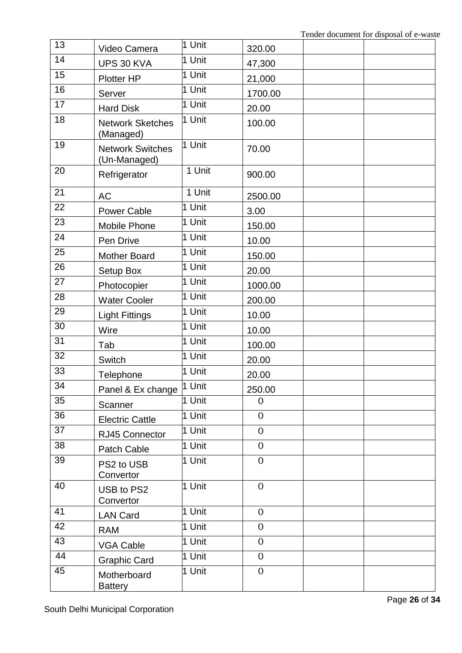| 13 | Video Camera                            | 1 Unit | 320.00         |  |
|----|-----------------------------------------|--------|----------------|--|
| 14 | UPS 30 KVA                              | 1 Unit | 47,300         |  |
| 15 | Plotter HP                              | 1 Unit | 21,000         |  |
| 16 | Server                                  | 1 Unit | 1700.00        |  |
| 17 | <b>Hard Disk</b>                        | 1 Unit | 20.00          |  |
| 18 | <b>Network Sketches</b><br>(Managed)    | 1 Unit | 100.00         |  |
| 19 | <b>Network Switches</b><br>(Un-Managed) | 1 Unit | 70.00          |  |
| 20 | Refrigerator                            | 1 Unit | 900.00         |  |
| 21 | <b>AC</b>                               | 1 Unit | 2500.00        |  |
| 22 | <b>Power Cable</b>                      | 1 Unit | 3.00           |  |
| 23 | Mobile Phone                            | 1 Unit | 150.00         |  |
| 24 | Pen Drive                               | 1 Unit | 10.00          |  |
| 25 | <b>Mother Board</b>                     | 1 Unit | 150.00         |  |
| 26 | Setup Box                               | 1 Unit | 20.00          |  |
| 27 | Photocopier                             | 1 Unit | 1000.00        |  |
| 28 | <b>Water Cooler</b>                     | 1 Unit | 200.00         |  |
| 29 | <b>Light Fittings</b>                   | 1 Unit | 10.00          |  |
| 30 | Wire                                    | 1 Unit | 10.00          |  |
| 31 | Tab                                     | 1 Unit | 100.00         |  |
| 32 | <b>Switch</b>                           | 1 Unit | 20.00          |  |
| 33 | Telephone                               | 1 Unit | 20.00          |  |
| 34 | Panel & Ex change                       | 1 Unit | 250.00         |  |
| 35 | Scanner                                 | 1 Unit | $\Omega$       |  |
| 36 | <b>Electric Cattle</b>                  | 1 Unit | $\Omega$       |  |
| 37 | RJ45 Connector                          | 1 Unit | $\Omega$       |  |
| 38 | <b>Patch Cable</b>                      | 1 Unit | $\Omega$       |  |
| 39 | PS2 to USB<br>Convertor                 | 1 Unit | $\Omega$       |  |
| 40 | USB to PS2<br>Convertor                 | 1 Unit | $\overline{0}$ |  |
| 41 | <b>LAN Card</b>                         | 1 Unit | $\Omega$       |  |
| 42 | <b>RAM</b>                              | 1 Unit | $\overline{0}$ |  |
| 43 | <b>VGA Cable</b>                        | 1 Unit | $\overline{0}$ |  |
| 44 | <b>Graphic Card</b>                     | 1 Unit | $\overline{0}$ |  |
| 45 | Motherboard<br><b>Battery</b>           | 1 Unit | $\Omega$       |  |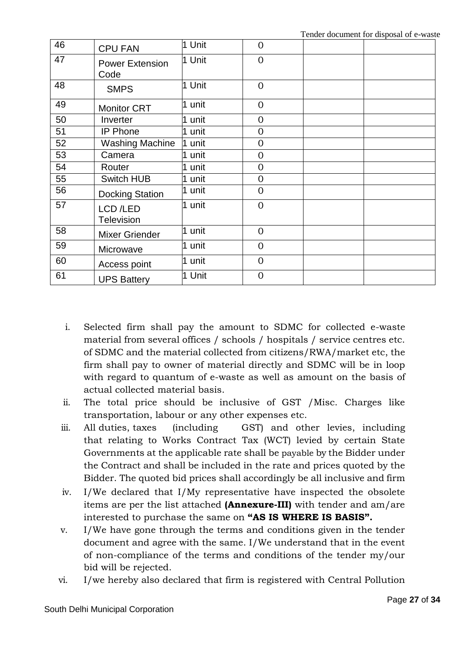| 46 | <b>CPU FAN</b>                 | 1 Unit | $\overline{0}$ |  |
|----|--------------------------------|--------|----------------|--|
| 47 | <b>Power Extension</b><br>Code | 1 Unit | $\overline{0}$ |  |
| 48 | <b>SMPS</b>                    | 1 Unit | $\Omega$       |  |
| 49 | <b>Monitor CRT</b>             | 1 unit | $\overline{0}$ |  |
| 50 | Inverter                       | 1 unit | $\overline{0}$ |  |
| 51 | <b>IP Phone</b>                | 1 unit | $\overline{0}$ |  |
| 52 | <b>Washing Machine</b>         | 1 unit | $\overline{0}$ |  |
| 53 | Camera                         | 1 unit | $\overline{0}$ |  |
| 54 | Router                         | 1 unit | $\overline{0}$ |  |
| 55 | Switch HUB                     | 1 unit | $\overline{0}$ |  |
| 56 | <b>Docking Station</b>         | 1 unit | $\overline{0}$ |  |
| 57 | LCD/LED<br><b>Television</b>   | 1 unit | $\overline{0}$ |  |
| 58 | <b>Mixer Griender</b>          | 1 unit | $\overline{0}$ |  |
| 59 | Microwave                      | 1 unit | $\overline{0}$ |  |
| 60 | Access point                   | 1 unit | $\overline{0}$ |  |
| 61 | <b>UPS Battery</b>             | 1 Unit | $\overline{0}$ |  |

- i. Selected firm shall pay the amount to SDMC for collected e-waste material from several offices / schools / hospitals / service centres etc. of SDMC and the material collected from citizens/RWA/market etc, the firm shall pay to owner of material directly and SDMC will be in loop with regard to quantum of e-waste as well as amount on the basis of actual collected material basis.
- ii. The total price should be inclusive of GST /Misc. Charges like transportation, labour or any other expenses etc.
- iii. All duties, taxes (including GST) and other levies, including that relating to Works Contract Tax (WCT) levied by certain State Governments at the applicable rate shall be payable by the Bidder under the Contract and shall be included in the rate and prices quoted by the Bidder. The quoted bid prices shall accordingly be all inclusive and firm
- iv. I/We declared that I/My representative have inspected the obsolete items are per the list attached **(Annexure-III)** with tender and am/are interested to purchase the same on **"AS IS WHERE IS BASIS".**
- v. I/We have gone through the terms and conditions given in the tender document and agree with the same. I/We understand that in the event of non-compliance of the terms and conditions of the tender my/our bid will be rejected.
- vi. I/we hereby also declared that firm is registered with Central Pollution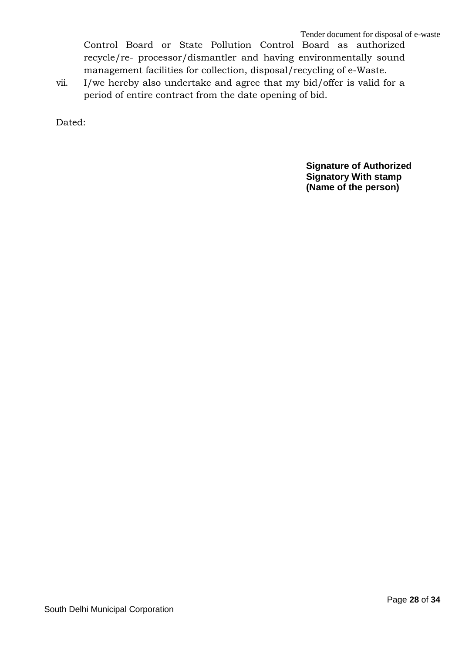Control Board or State Pollution Control Board as authorized recycle/re- processor/dismantler and having environmentally sound management facilities for collection, disposal/recycling of e-Waste.

vii. I/we hereby also undertake and agree that my bid/offer is valid for a period of entire contract from the date opening of bid.

Dated:

**Signature of Authorized Signatory With stamp (Name of the person)**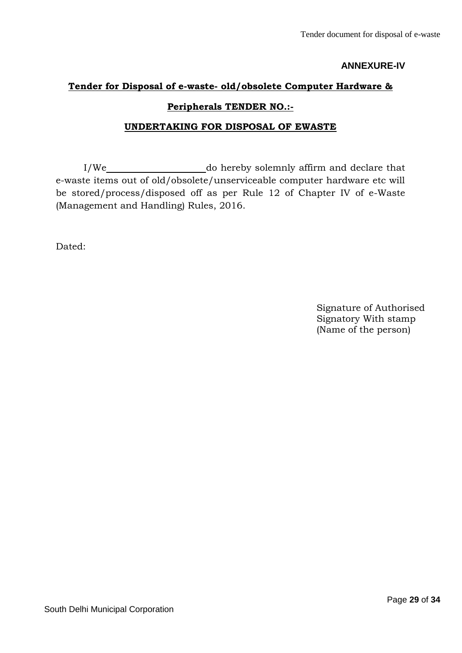## **ANNEXURE-IV**

## **Tender for Disposal of e-waste- old/obsolete Computer Hardware &**

### **Peripherals TENDER NO.:-**

### **UNDERTAKING FOR DISPOSAL OF EWASTE**

I/We do hereby solemnly affirm and declare that e-waste items out of old/obsolete/unserviceable computer hardware etc will be stored/process/disposed off as per Rule 12 of Chapter IV of e-Waste (Management and Handling) Rules, 2016.

Dated:

Signature of Authorised Signatory With stamp (Name of the person)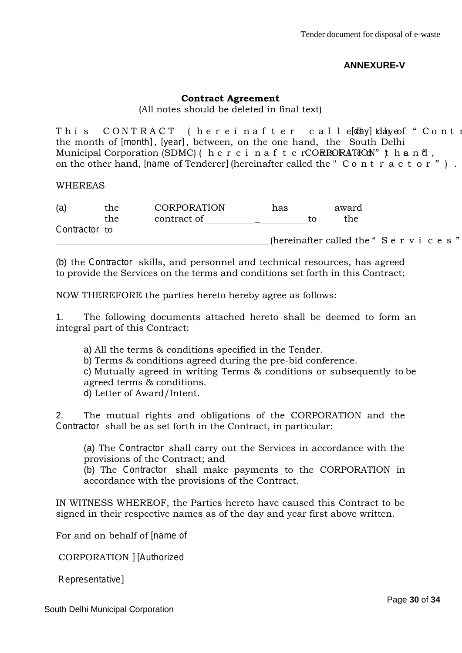### **ANNEXURE-V**

#### **Contract Agreement**

(All notes should be deleted in final text)

This CONTRACT (hereinafter calle<sup>[day] tday of "Contr</sup> the month of *[month], [year]*, between, on the one hand, the South Delhi Municipal Corporation (SDMC) (hereinafter CORPORATION") hand, on the other hand, *[name* of Tenderer] (hereinafter called the "Contractor").

WHEREAS

| (a) | the          | <b>CORPORATION</b> | has | award |                                     |
|-----|--------------|--------------------|-----|-------|-------------------------------------|
|     | the          | contract of        | tο  | the   |                                     |
|     | Contractorto |                    |     |       |                                     |
|     |              |                    |     |       | (hereinafter called the "Services") |

(b) the *Contractor* skills, and personnel and technical resources, has agreed to provide the Services on the terms and conditions set forth in this Contract;

NOW THEREFORE the parties hereto hereby agree as follows:

1. The following documents attached hereto shall be deemed to form an integral part of this Contract:

a) All the terms & conditions specified in the Tender.

b) Terms & conditions agreed during the pre-bid conference.

c) Mutually agreed in writing Terms & conditions or subsequently to be agreed terms & conditions.

d) Letter of Award/Intent.

2. The mutual rights and obligations of the CORPORATION and the *Contractor* shall be as set forth in the Contract, in particular:

(a) The *Cont ractor* shall carry out the Services in accordance with the provisions of the Contract; and

(b) The *Contractor* shall make payments to the CORPORATION in accordance with the provisions of the Contract.

IN WITNESS WHEREOF, the Parties hereto have caused this Contract to be signed in their respective names as of the day and year first above written.

For and on behalf of *[name of*

CORPORATION *] [Authorized* 

*Representative]*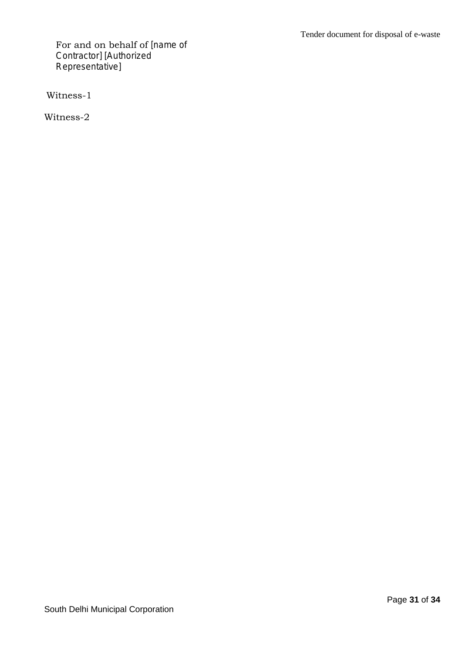For and on behalf of *[name of Contractor]* [Authorize *Representative]*

Witness-1

Witness-2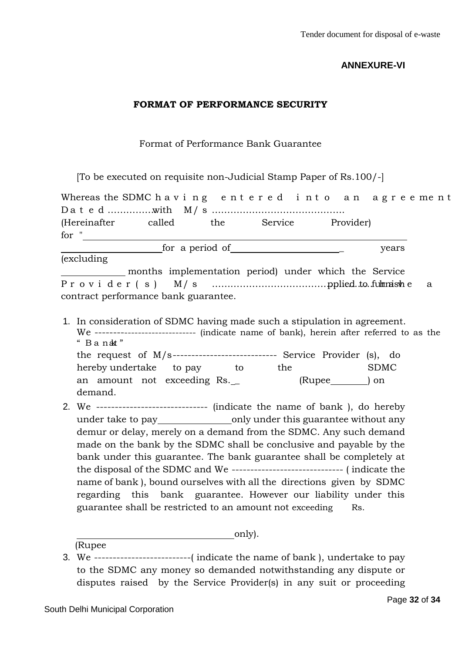## **ANNEXURE-VI**

#### **FORMAT OF PERFORMANCE SECURITY**

Format of Performance Bank Guarantee

[To be executed on requisite non-Judicial Stamp Paper of Rs.100/-]

Whereas the SDMC having entered into an agreement Dated……………. with M/s……………………………………. (Hereinafter called the Service Provider) for " for a period of \_ years (excluding months implementation period) under which the Service Provider(s) M/s …………………………………………….have a pplied to furnish contract performance bank guarantee. 1. In consideration of SDMC having made such a stipulation in agreement. We ----------------------------- (indicate name of bank), herein after referred to as the " Banat" the request of M/s---------------------------- Service Provider (s), do

hereby undertake to pay to the SDMC an amount not exceeding Rs.\_\_ (Rupee\_\_\_\_\_\_\_\_) on demand.

2. We ------------------------------ (indicate the name of bank ), do hereby under take to pay only under this guarantee without any demur or delay, merely on a demand from the SDMC. Any such demand made on the bank by the SDMC shall be conclusive and payable by the bank under this guarantee. The bank guarantee shall be completely at the disposal of the SDMC and We ------------------------------ ( indicate the name of bank ), bound ourselves with all the directions given by SDMC regarding this bank guarantee. However our liability under this guarantee shall be restricted to an amount not exceeding Rs.

only). (Rupee

3. We --------------------------( indicate the name of bank ), undertake to pay to the SDMC any money so demanded notwithstanding any dispute or disputes raised by the Service Provider(s) in any suit or proceeding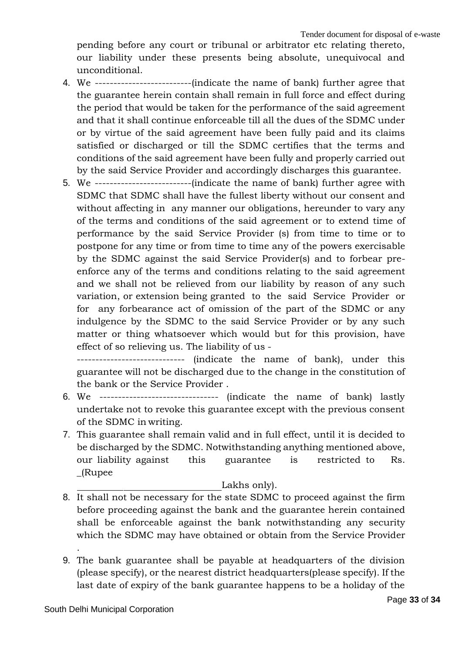pending before any court or tribunal or arbitrator etc relating thereto, our liability under these presents being absolute, unequivocal and unconditional.

- 4. We --------------------------(indicate the name of bank) further agree that the guarantee herein contain shall remain in full force and effect during the period that would be taken for the performance of the said agreement and that it shall continue enforceable till all the dues of the SDMC under or by virtue of the said agreement have been fully paid and its claims satisfied or discharged or till the SDMC certifies that the terms and conditions of the said agreement have been fully and properly carried out by the said Service Provider and accordingly discharges this guarantee.
- 5. We --------------------------(indicate the name of bank) further agree with SDMC that SDMC shall have the fullest liberty without our consent and without affecting in any manner our obligations, hereunder to vary any of the terms and conditions of the said agreement or to extend time of performance by the said Service Provider (s) from time to time or to postpone for any time or from time to time any of the powers exercisable by the SDMC against the said Service Provider(s) and to forbear preenforce any of the terms and conditions relating to the said agreement and we shall not be relieved from our liability by reason of any such variation, or extension being granted to the said Service Provider or for any forbearance act of omission of the part of the SDMC or any indulgence by the SDMC to the said Service Provider or by any such matter or thing whatsoever which would but for this provision, have effect of so relieving us. The liability of us -

----------------------------- (indicate the name of bank), under this guarantee will not be discharged due to the change in the constitution of the bank or the Service Provider .

- 6. We -------------------------------- (indicate the name of bank) lastly undertake not to revoke this guarantee except with the previous consent of the SDMC in writing.
- 7. This guarantee shall remain valid and in full effect, until it is decided to be discharged by the SDMC. Notwithstanding anything mentioned above, our liability against this guarantee is restricted to Rs. \_(Rupee

#### Lakhs only).

- 8. It shall not be necessary for the state SDMC to proceed against the firm before proceeding against the bank and the guarantee herein contained shall be enforceable against the bank notwithstanding any security which the SDMC may have obtained or obtain from the Service Provider
- 9. The bank guarantee shall be payable at headquarters of the division (please specify), or the nearest district headquarters(please specify). If the last date of expiry of the bank guarantee happens to be a holiday of the

.